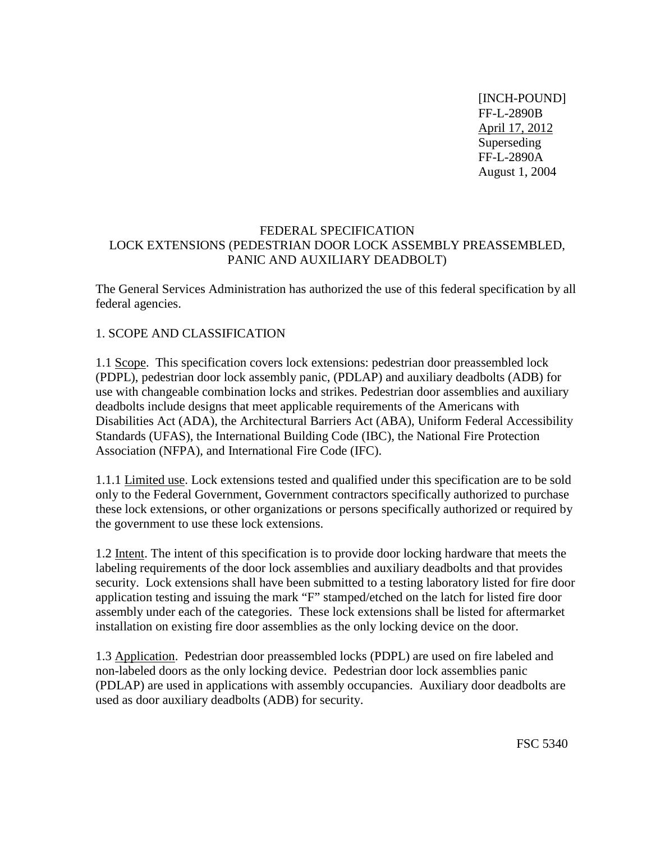[INCH-POUND] FF-L-2890B April 17, 2012 Superseding FF-L-2890A August 1, 2004

#### FEDERAL SPECIFICATION LOCK EXTENSIONS (PEDESTRIAN DOOR LOCK ASSEMBLY PREASSEMBLED, PANIC AND AUXILIARY DEADBOLT)

The General Services Administration has authorized the use of this federal specification by all federal agencies.

### 1. SCOPE AND CLASSIFICATION

1.1 Scope. This specification covers lock extensions: pedestrian door preassembled lock (PDPL), pedestrian door lock assembly panic, (PDLAP) and auxiliary deadbolts (ADB) for use with changeable combination locks and strikes. Pedestrian door assemblies and auxiliary deadbolts include designs that meet applicable requirements of the Americans with Disabilities Act (ADA), the Architectural Barriers Act (ABA), Uniform Federal Accessibility Standards (UFAS), the International Building Code (IBC), the National Fire Protection Association (NFPA), and International Fire Code (IFC).

1.1.1 Limited use. Lock extensions tested and qualified under this specification are to be sold only to the Federal Government, Government contractors specifically authorized to purchase these lock extensions, or other organizations or persons specifically authorized or required by the government to use these lock extensions.

1.2 Intent. The intent of this specification is to provide door locking hardware that meets the labeling requirements of the door lock assemblies and auxiliary deadbolts and that provides security. Lock extensions shall have been submitted to a testing laboratory listed for fire door application testing and issuing the mark "F" stamped/etched on the latch for listed fire door assembly under each of the categories. These lock extensions shall be listed for aftermarket installation on existing fire door assemblies as the only locking device on the door.

1.3 Application. Pedestrian door preassembled locks (PDPL) are used on fire labeled and non-labeled doors as the only locking device. Pedestrian door lock assemblies panic (PDLAP) are used in applications with assembly occupancies. Auxiliary door deadbolts are used as door auxiliary deadbolts (ADB) for security.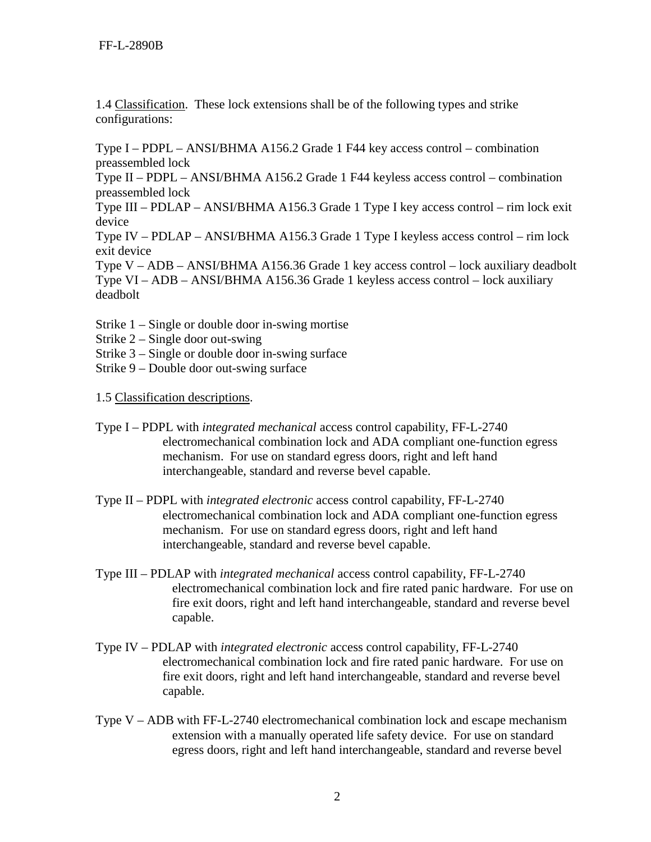1.4 Classification. These lock extensions shall be of the following types and strike configurations:

Type I – PDPL – ANSI/BHMA A156.2 Grade 1 F44 key access control – combination preassembled lock

Type II – PDPL – ANSI/BHMA A156.2 Grade 1 F44 keyless access control – combination preassembled lock

Type III – PDLAP – ANSI/BHMA A156.3 Grade 1 Type I key access control – rim lock exit device

Type IV – PDLAP – ANSI/BHMA A156.3 Grade 1 Type I keyless access control – rim lock exit device

Type V – ADB – ANSI/BHMA A156.36 Grade 1 key access control – lock auxiliary deadbolt Type VI – ADB – ANSI/BHMA A156.36 Grade 1 keyless access control – lock auxiliary deadbolt

- Strike 1 Single or double door in-swing mortise
- Strike 2 Single door out-swing
- Strike 3 Single or double door in-swing surface
- Strike 9 Double door out-swing surface
- 1.5 Classification descriptions.
- Type I PDPL with *integrated mechanical* access control capability, FF-L-2740 electromechanical combination lock and ADA compliant one-function egress mechanism. For use on standard egress doors, right and left hand interchangeable, standard and reverse bevel capable.
- Type II PDPL with *integrated electronic* access control capability, FF-L-2740 electromechanical combination lock and ADA compliant one-function egress mechanism. For use on standard egress doors, right and left hand interchangeable, standard and reverse bevel capable.
- Type III PDLAP with *integrated mechanical* access control capability, FF-L-2740 electromechanical combination lock and fire rated panic hardware. For use on fire exit doors, right and left hand interchangeable, standard and reverse bevel capable.
- Type IV PDLAP with *integrated electronic* access control capability, FF-L-2740 electromechanical combination lock and fire rated panic hardware. For use on fire exit doors, right and left hand interchangeable, standard and reverse bevel capable.
- Type V ADB with FF-L-2740 electromechanical combination lock and escape mechanism extension with a manually operated life safety device. For use on standard egress doors, right and left hand interchangeable, standard and reverse bevel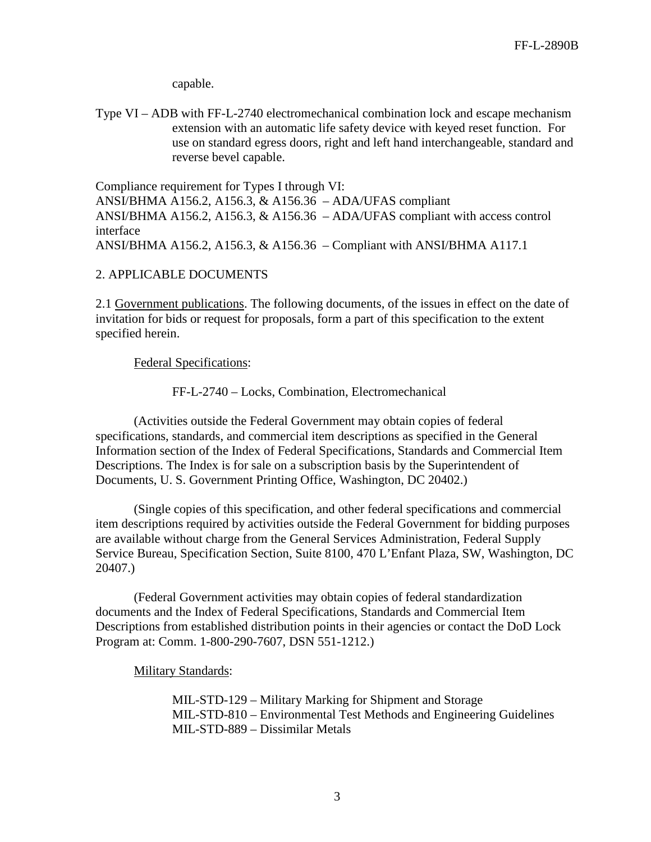capable.

Type VI – ADB with FF-L-2740 electromechanical combination lock and escape mechanism extension with an automatic life safety device with keyed reset function. For use on standard egress doors, right and left hand interchangeable, standard and reverse bevel capable.

Compliance requirement for Types I through VI: ANSI/BHMA A156.2, A156.3, & A156.36 – ADA/UFAS compliant ANSI/BHMA A156.2, A156.3, & A156.36 – ADA/UFAS compliant with access control interface ANSI/BHMA A156.2, A156.3, & A156.36 – Compliant with ANSI/BHMA A117.1

#### 2. APPLICABLE DOCUMENTS

2.1 Government publications. The following documents, of the issues in effect on the date of invitation for bids or request for proposals, form a part of this specification to the extent specified herein.

Federal Specifications:

FF-L-2740 – Locks, Combination, Electromechanical

(Activities outside the Federal Government may obtain copies of federal specifications, standards, and commercial item descriptions as specified in the General Information section of the Index of Federal Specifications, Standards and Commercial Item Descriptions. The Index is for sale on a subscription basis by the Superintendent of Documents, U. S. Government Printing Office, Washington, DC 20402.)

(Single copies of this specification, and other federal specifications and commercial item descriptions required by activities outside the Federal Government for bidding purposes are available without charge from the General Services Administration, Federal Supply Service Bureau, Specification Section, Suite 8100, 470 L'Enfant Plaza, SW, Washington, DC 20407.)

(Federal Government activities may obtain copies of federal standardization documents and the Index of Federal Specifications, Standards and Commercial Item Descriptions from established distribution points in their agencies or contact the DoD Lock Program at: Comm. 1-800-290-7607, DSN 551-1212.)

Military Standards:

MIL-STD-129 – Military Marking for Shipment and Storage MIL-STD-810 – Environmental Test Methods and Engineering Guidelines MIL-STD-889 – Dissimilar Metals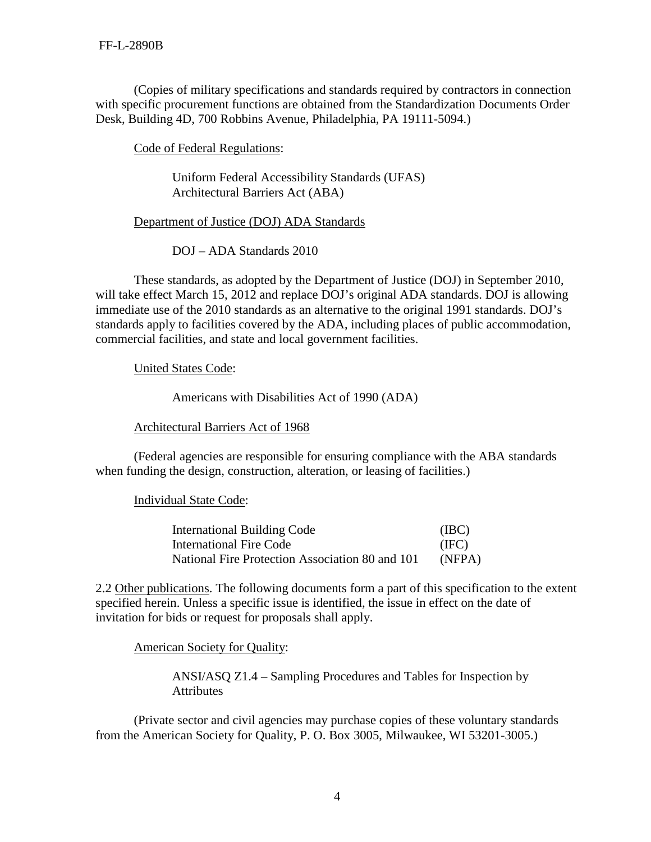(Copies of military specifications and standards required by contractors in connection with specific procurement functions are obtained from the Standardization Documents Order Desk, Building 4D, 700 Robbins Avenue, Philadelphia, PA 19111-5094.)

Code of Federal Regulations:

Uniform Federal Accessibility Standards (UFAS) Architectural Barriers Act (ABA)

Department of Justice (DOJ) ADA Standards

DOJ – ADA Standards 2010

These standards, as adopted by the Department of Justice (DOJ) in September 2010, will take effect March 15, 2012 and replace DOJ's original ADA standards. DOJ is allowing immediate use of the 2010 standards as an alternative to the original 1991 standards. DOJ's standards apply to facilities covered by the ADA, including places of public accommodation, commercial facilities, and state and local government facilities.

United States Code:

Americans with Disabilities Act of 1990 (ADA)

Architectural Barriers Act of 1968

(Federal agencies are responsible for ensuring compliance with the ABA standards when funding the design, construction, alteration, or leasing of facilities.)

Individual State Code:

| <b>International Building Code</b>              | (IBC)  |
|-------------------------------------------------|--------|
| International Fire Code                         | (IFC)  |
| National Fire Protection Association 80 and 101 | (NFPA) |

2.2 Other publications. The following documents form a part of this specification to the extent specified herein. Unless a specific issue is identified, the issue in effect on the date of invitation for bids or request for proposals shall apply.

American Society for Quality:

ANSI/ASQ Z1.4 – Sampling Procedures and Tables for Inspection by **Attributes** 

(Private sector and civil agencies may purchase copies of these voluntary standards from the American Society for Quality, P. O. Box 3005, Milwaukee, WI 53201-3005.)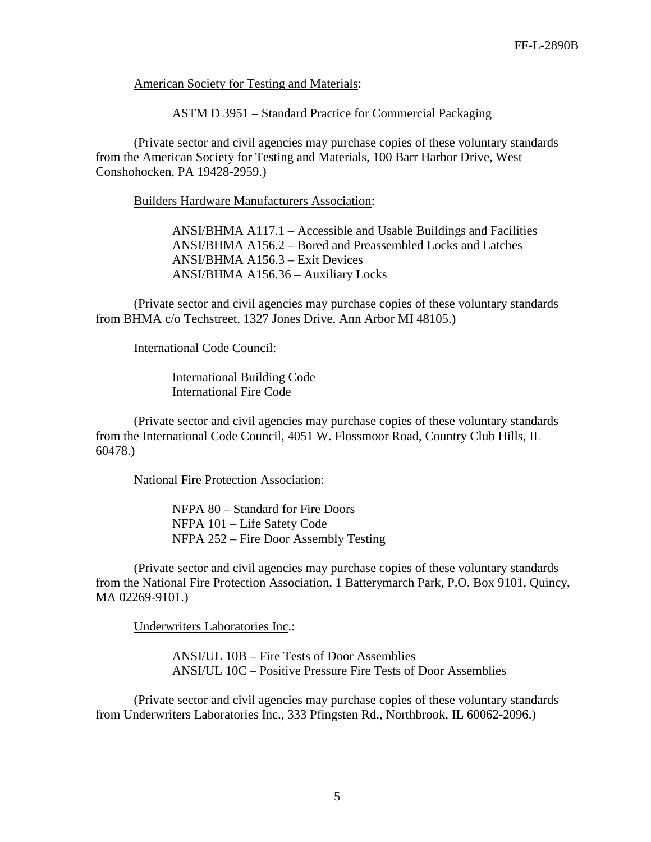American Society for Testing and Materials:

ASTM D 3951 – Standard Practice for Commercial Packaging

(Private sector and civil agencies may purchase copies of these voluntary standards from the American Society for Testing and Materials, 100 Barr Harbor Drive, West Conshohocken, PA 19428-2959.)

Builders Hardware Manufacturers Association:

ANSI/BHMA A117.1 – Accessible and Usable Buildings and Facilities ANSI/BHMA A156.2 – Bored and Preassembled Locks and Latches ANSI/BHMA A156.3 – Exit Devices ANSI/BHMA A156.36 – Auxiliary Locks

(Private sector and civil agencies may purchase copies of these voluntary standards from BHMA c/o Techstreet, 1327 Jones Drive, Ann Arbor MI 48105.)

International Code Council:

International Building Code International Fire Code

(Private sector and civil agencies may purchase copies of these voluntary standards from the International Code Council, 4051 W. Flossmoor Road, Country Club Hills, IL 60478.)

National Fire Protection Association:

NFPA 80 – Standard for Fire Doors NFPA 101 – Life Safety Code NFPA 252 – Fire Door Assembly Testing

(Private sector and civil agencies may purchase copies of these voluntary standards from the National Fire Protection Association, 1 Batterymarch Park, P.O. Box 9101, Quincy, MA 02269-9101.)

Underwriters Laboratories Inc.:

ANSI/UL 10B – Fire Tests of Door Assemblies ANSI/UL 10C – Positive Pressure Fire Tests of Door Assemblies

(Private sector and civil agencies may purchase copies of these voluntary standards from Underwriters Laboratories Inc., 333 Pfingsten Rd., Northbrook, IL 60062-2096.)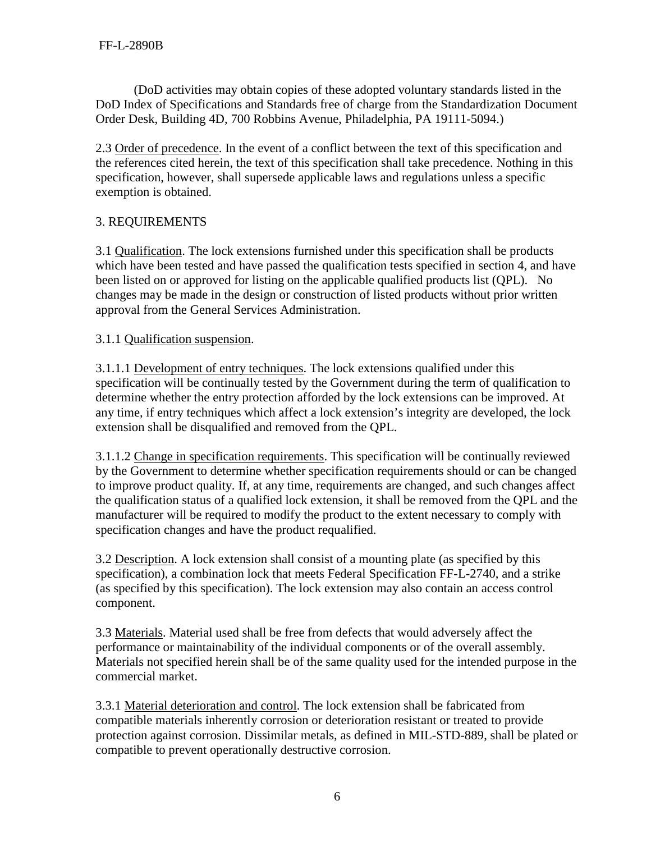(DoD activities may obtain copies of these adopted voluntary standards listed in the DoD Index of Specifications and Standards free of charge from the Standardization Document Order Desk, Building 4D, 700 Robbins Avenue, Philadelphia, PA 19111-5094.)

2.3 Order of precedence. In the event of a conflict between the text of this specification and the references cited herein, the text of this specification shall take precedence. Nothing in this specification, however, shall supersede applicable laws and regulations unless a specific exemption is obtained.

# 3. REQUIREMENTS

3.1 Qualification. The lock extensions furnished under this specification shall be products which have been tested and have passed the qualification tests specified in section 4, and have been listed on or approved for listing on the applicable qualified products list (QPL). No changes may be made in the design or construction of listed products without prior written approval from the General Services Administration.

## 3.1.1 Qualification suspension.

3.1.1.1 Development of entry techniques. The lock extensions qualified under this specification will be continually tested by the Government during the term of qualification to determine whether the entry protection afforded by the lock extensions can be improved. At any time, if entry techniques which affect a lock extension's integrity are developed, the lock extension shall be disqualified and removed from the QPL.

3.1.1.2 Change in specification requirements. This specification will be continually reviewed by the Government to determine whether specification requirements should or can be changed to improve product quality. If, at any time, requirements are changed, and such changes affect the qualification status of a qualified lock extension, it shall be removed from the QPL and the manufacturer will be required to modify the product to the extent necessary to comply with specification changes and have the product requalified.

3.2 Description. A lock extension shall consist of a mounting plate (as specified by this specification), a combination lock that meets Federal Specification FF-L-2740, and a strike (as specified by this specification). The lock extension may also contain an access control component.

3.3 Materials. Material used shall be free from defects that would adversely affect the performance or maintainability of the individual components or of the overall assembly. Materials not specified herein shall be of the same quality used for the intended purpose in the commercial market.

3.3.1 Material deterioration and control. The lock extension shall be fabricated from compatible materials inherently corrosion or deterioration resistant or treated to provide protection against corrosion. Dissimilar metals, as defined in MIL-STD-889, shall be plated or compatible to prevent operationally destructive corrosion.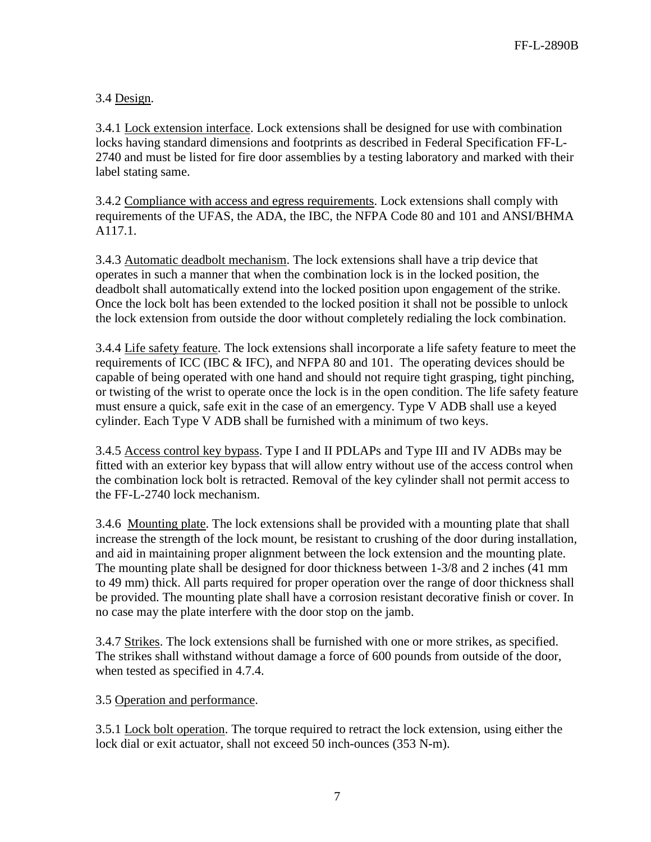# 3.4 Design.

3.4.1 Lock extension interface. Lock extensions shall be designed for use with combination locks having standard dimensions and footprints as described in Federal Specification FF-L-2740 and must be listed for fire door assemblies by a testing laboratory and marked with their label stating same.

3.4.2 Compliance with access and egress requirements. Lock extensions shall comply with requirements of the UFAS, the ADA, the IBC, the NFPA Code 80 and 101 and ANSI/BHMA A117.1.

3.4.3 Automatic deadbolt mechanism. The lock extensions shall have a trip device that operates in such a manner that when the combination lock is in the locked position, the deadbolt shall automatically extend into the locked position upon engagement of the strike. Once the lock bolt has been extended to the locked position it shall not be possible to unlock the lock extension from outside the door without completely redialing the lock combination.

3.4.4 Life safety feature. The lock extensions shall incorporate a life safety feature to meet the requirements of ICC (IBC & IFC), and NFPA 80 and 101. The operating devices should be capable of being operated with one hand and should not require tight grasping, tight pinching, or twisting of the wrist to operate once the lock is in the open condition. The life safety feature must ensure a quick, safe exit in the case of an emergency. Type V ADB shall use a keyed cylinder. Each Type V ADB shall be furnished with a minimum of two keys.

3.4.5 Access control key bypass. Type I and II PDLAPs and Type III and IV ADBs may be fitted with an exterior key bypass that will allow entry without use of the access control when the combination lock bolt is retracted. Removal of the key cylinder shall not permit access to the FF-L-2740 lock mechanism.

3.4.6 Mounting plate. The lock extensions shall be provided with a mounting plate that shall increase the strength of the lock mount, be resistant to crushing of the door during installation, and aid in maintaining proper alignment between the lock extension and the mounting plate. The mounting plate shall be designed for door thickness between 1-3/8 and 2 inches (41 mm to 49 mm) thick. All parts required for proper operation over the range of door thickness shall be provided. The mounting plate shall have a corrosion resistant decorative finish or cover. In no case may the plate interfere with the door stop on the jamb.

3.4.7 Strikes. The lock extensions shall be furnished with one or more strikes, as specified. The strikes shall withstand without damage a force of 600 pounds from outside of the door, when tested as specified in 4.7.4.

## 3.5 Operation and performance.

3.5.1 Lock bolt operation. The torque required to retract the lock extension, using either the lock dial or exit actuator, shall not exceed 50 inch-ounces (353 N-m).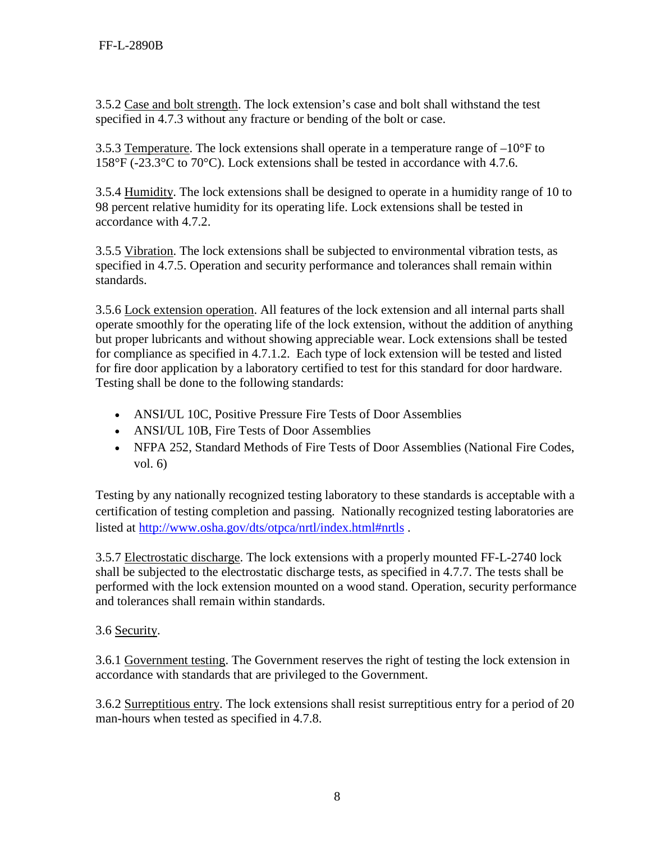3.5.2 Case and bolt strength. The lock extension's case and bolt shall withstand the test specified in 4.7.3 without any fracture or bending of the bolt or case.

3.5.3 Temperature. The lock extensions shall operate in a temperature range of  $-10^{\circ}$ F to 158°F (-23.3°C to 70°C). Lock extensions shall be tested in accordance with 4.7.6.

3.5.4 Humidity. The lock extensions shall be designed to operate in a humidity range of 10 to 98 percent relative humidity for its operating life. Lock extensions shall be tested in accordance with 4.7.2.

3.5.5 Vibration. The lock extensions shall be subjected to environmental vibration tests, as specified in 4.7.5. Operation and security performance and tolerances shall remain within standards.

3.5.6 Lock extension operation. All features of the lock extension and all internal parts shall operate smoothly for the operating life of the lock extension, without the addition of anything but proper lubricants and without showing appreciable wear. Lock extensions shall be tested for compliance as specified in 4.7.1.2. Each type of lock extension will be tested and listed for fire door application by a laboratory certified to test for this standard for door hardware. Testing shall be done to the following standards:

- ANSI/UL 10C, Positive Pressure Fire Tests of Door Assemblies
- ANSI/UL 10B, Fire Tests of Door Assemblies
- NFPA 252, Standard Methods of Fire Tests of Door Assemblies (National Fire Codes, vol. 6)

Testing by any nationally recognized testing laboratory to these standards is acceptable with a certification of testing completion and passing. Nationally recognized testing laboratories are listed at<http://www.osha.gov/dts/otpca/nrtl/index.html#nrtls> .

3.5.7 Electrostatic discharge. The lock extensions with a properly mounted FF-L-2740 lock shall be subjected to the electrostatic discharge tests, as specified in 4.7.7. The tests shall be performed with the lock extension mounted on a wood stand. Operation, security performance and tolerances shall remain within standards.

# 3.6 Security.

3.6.1 Government testing. The Government reserves the right of testing the lock extension in accordance with standards that are privileged to the Government.

3.6.2 Surreptitious entry. The lock extensions shall resist surreptitious entry for a period of 20 man-hours when tested as specified in 4.7.8.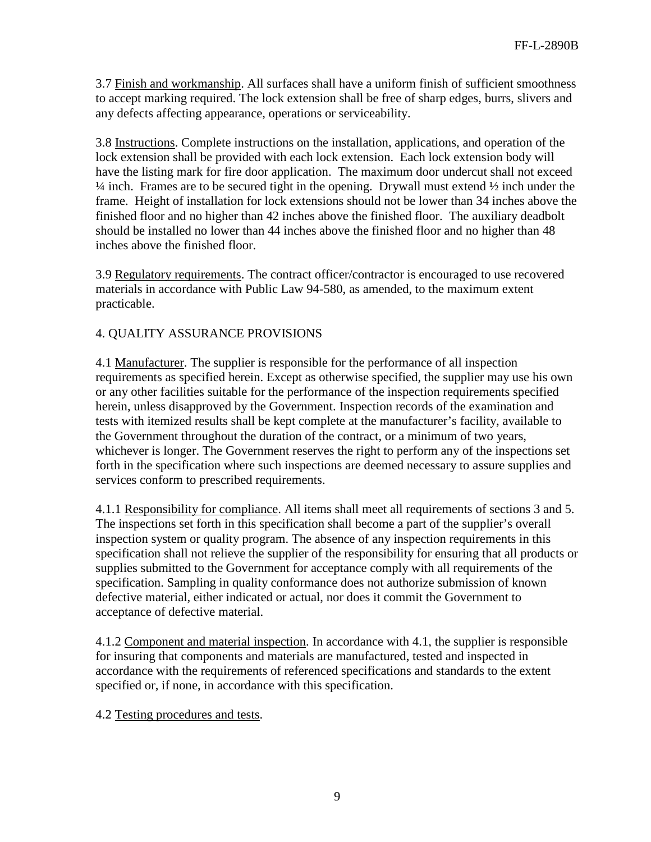3.7 Finish and workmanship. All surfaces shall have a uniform finish of sufficient smoothness to accept marking required. The lock extension shall be free of sharp edges, burrs, slivers and any defects affecting appearance, operations or serviceability.

3.8 Instructions. Complete instructions on the installation, applications, and operation of the lock extension shall be provided with each lock extension. Each lock extension body will have the listing mark for fire door application. The maximum door undercut shall not exceed  $\frac{1}{4}$  inch. Frames are to be secured tight in the opening. Drywall must extend  $\frac{1}{2}$  inch under the frame. Height of installation for lock extensions should not be lower than 34 inches above the finished floor and no higher than 42 inches above the finished floor. The auxiliary deadbolt should be installed no lower than 44 inches above the finished floor and no higher than 48 inches above the finished floor.

3.9 Regulatory requirements. The contract officer/contractor is encouraged to use recovered materials in accordance with Public Law 94-580, as amended, to the maximum extent practicable.

### 4. QUALITY ASSURANCE PROVISIONS

4.1 Manufacturer. The supplier is responsible for the performance of all inspection requirements as specified herein. Except as otherwise specified, the supplier may use his own or any other facilities suitable for the performance of the inspection requirements specified herein, unless disapproved by the Government. Inspection records of the examination and tests with itemized results shall be kept complete at the manufacturer's facility, available to the Government throughout the duration of the contract, or a minimum of two years, whichever is longer. The Government reserves the right to perform any of the inspections set forth in the specification where such inspections are deemed necessary to assure supplies and services conform to prescribed requirements.

4.1.1 Responsibility for compliance. All items shall meet all requirements of sections 3 and 5. The inspections set forth in this specification shall become a part of the supplier's overall inspection system or quality program. The absence of any inspection requirements in this specification shall not relieve the supplier of the responsibility for ensuring that all products or supplies submitted to the Government for acceptance comply with all requirements of the specification. Sampling in quality conformance does not authorize submission of known defective material, either indicated or actual, nor does it commit the Government to acceptance of defective material.

4.1.2 Component and material inspection. In accordance with 4.1, the supplier is responsible for insuring that components and materials are manufactured, tested and inspected in accordance with the requirements of referenced specifications and standards to the extent specified or, if none, in accordance with this specification.

4.2 Testing procedures and tests.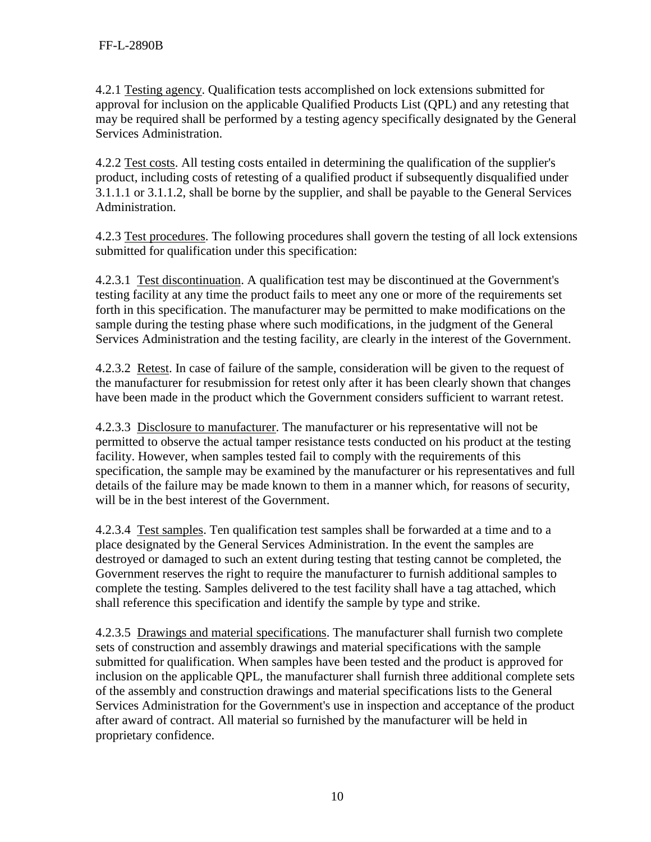4.2.1 Testing agency. Qualification tests accomplished on lock extensions submitted for approval for inclusion on the applicable Qualified Products List (QPL) and any retesting that may be required shall be performed by a testing agency specifically designated by the General Services Administration.

4.2.2 Test costs. All testing costs entailed in determining the qualification of the supplier's product, including costs of retesting of a qualified product if subsequently disqualified under 3.1.1.1 or 3.1.1.2, shall be borne by the supplier, and shall be payable to the General Services Administration.

4.2.3 Test procedures. The following procedures shall govern the testing of all lock extensions submitted for qualification under this specification:

4.2.3.1 Test discontinuation. A qualification test may be discontinued at the Government's testing facility at any time the product fails to meet any one or more of the requirements set forth in this specification. The manufacturer may be permitted to make modifications on the sample during the testing phase where such modifications, in the judgment of the General Services Administration and the testing facility, are clearly in the interest of the Government.

4.2.3.2 Retest. In case of failure of the sample, consideration will be given to the request of the manufacturer for resubmission for retest only after it has been clearly shown that changes have been made in the product which the Government considers sufficient to warrant retest.

4.2.3.3 Disclosure to manufacturer. The manufacturer or his representative will not be permitted to observe the actual tamper resistance tests conducted on his product at the testing facility. However, when samples tested fail to comply with the requirements of this specification, the sample may be examined by the manufacturer or his representatives and full details of the failure may be made known to them in a manner which, for reasons of security, will be in the best interest of the Government.

4.2.3.4 Test samples. Ten qualification test samples shall be forwarded at a time and to a place designated by the General Services Administration. In the event the samples are destroyed or damaged to such an extent during testing that testing cannot be completed, the Government reserves the right to require the manufacturer to furnish additional samples to complete the testing. Samples delivered to the test facility shall have a tag attached, which shall reference this specification and identify the sample by type and strike.

4.2.3.5 Drawings and material specifications. The manufacturer shall furnish two complete sets of construction and assembly drawings and material specifications with the sample submitted for qualification. When samples have been tested and the product is approved for inclusion on the applicable QPL, the manufacturer shall furnish three additional complete sets of the assembly and construction drawings and material specifications lists to the General Services Administration for the Government's use in inspection and acceptance of the product after award of contract. All material so furnished by the manufacturer will be held in proprietary confidence.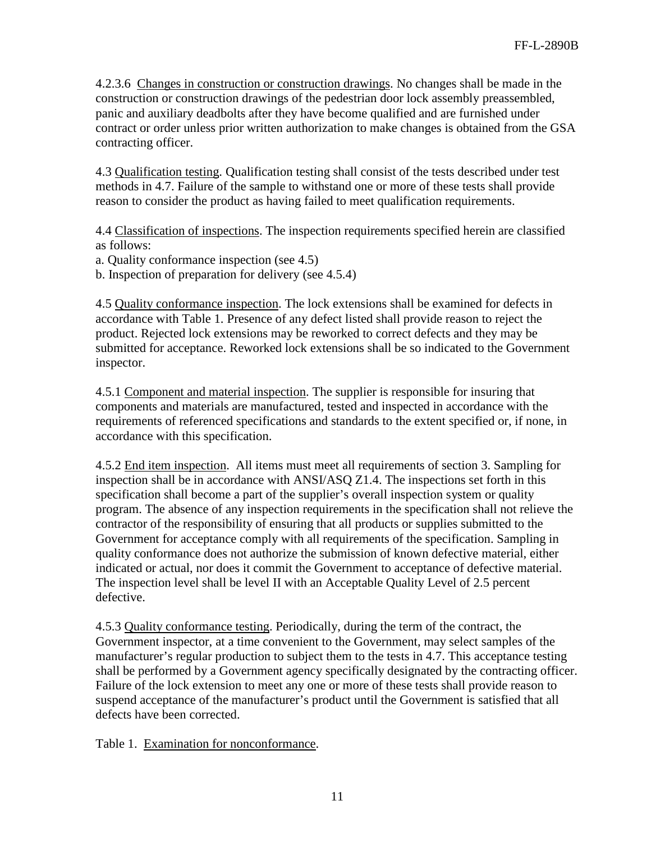4.2.3.6 Changes in construction or construction drawings. No changes shall be made in the construction or construction drawings of the pedestrian door lock assembly preassembled, panic and auxiliary deadbolts after they have become qualified and are furnished under contract or order unless prior written authorization to make changes is obtained from the GSA contracting officer.

4.3 Qualification testing. Qualification testing shall consist of the tests described under test methods in 4.7. Failure of the sample to withstand one or more of these tests shall provide reason to consider the product as having failed to meet qualification requirements.

4.4 Classification of inspections. The inspection requirements specified herein are classified as follows:

a. Quality conformance inspection (see 4.5)

b. Inspection of preparation for delivery (see 4.5.4)

4.5 Quality conformance inspection. The lock extensions shall be examined for defects in accordance with Table 1. Presence of any defect listed shall provide reason to reject the product. Rejected lock extensions may be reworked to correct defects and they may be submitted for acceptance. Reworked lock extensions shall be so indicated to the Government inspector.

4.5.1 Component and material inspection. The supplier is responsible for insuring that components and materials are manufactured, tested and inspected in accordance with the requirements of referenced specifications and standards to the extent specified or, if none, in accordance with this specification.

4.5.2 End item inspection. All items must meet all requirements of section 3. Sampling for inspection shall be in accordance with ANSI/ASQ Z1.4. The inspections set forth in this specification shall become a part of the supplier's overall inspection system or quality program. The absence of any inspection requirements in the specification shall not relieve the contractor of the responsibility of ensuring that all products or supplies submitted to the Government for acceptance comply with all requirements of the specification. Sampling in quality conformance does not authorize the submission of known defective material, either indicated or actual, nor does it commit the Government to acceptance of defective material. The inspection level shall be level II with an Acceptable Quality Level of 2.5 percent defective.

4.5.3 Quality conformance testing. Periodically, during the term of the contract, the Government inspector, at a time convenient to the Government, may select samples of the manufacturer's regular production to subject them to the tests in 4.7. This acceptance testing shall be performed by a Government agency specifically designated by the contracting officer. Failure of the lock extension to meet any one or more of these tests shall provide reason to suspend acceptance of the manufacturer's product until the Government is satisfied that all defects have been corrected.

Table 1. Examination for nonconformance.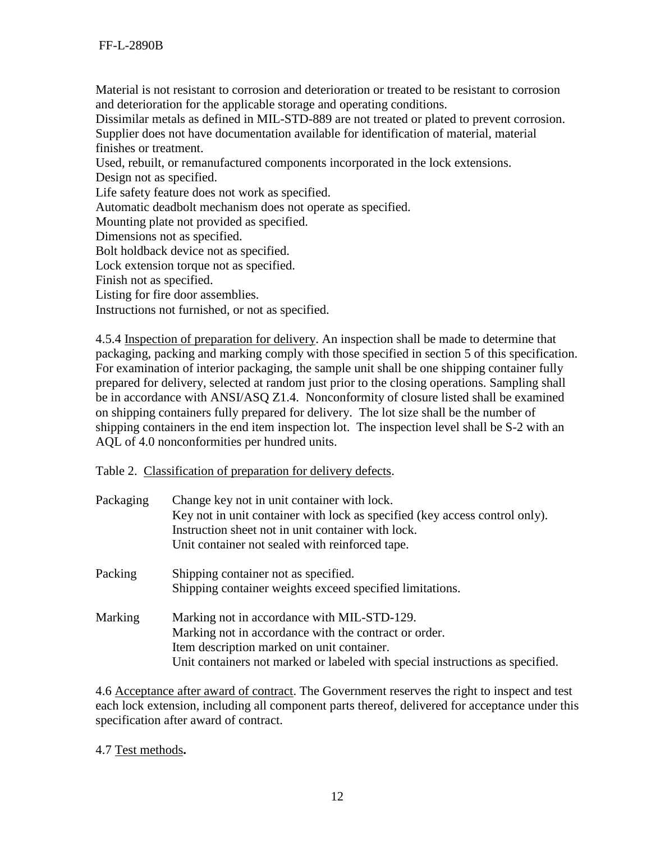Material is not resistant to corrosion and deterioration or treated to be resistant to corrosion and deterioration for the applicable storage and operating conditions.

Dissimilar metals as defined in MIL-STD-889 are not treated or plated to prevent corrosion. Supplier does not have documentation available for identification of material, material finishes or treatment.

Used, rebuilt, or remanufactured components incorporated in the lock extensions.

Design not as specified.

Life safety feature does not work as specified.

Automatic deadbolt mechanism does not operate as specified.

Mounting plate not provided as specified.

Dimensions not as specified.

Bolt holdback device not as specified.

Lock extension torque not as specified.

Finish not as specified.

Listing for fire door assemblies.

Instructions not furnished, or not as specified.

4.5.4 Inspection of preparation for delivery. An inspection shall be made to determine that packaging, packing and marking comply with those specified in section 5 of this specification. For examination of interior packaging, the sample unit shall be one shipping container fully prepared for delivery, selected at random just prior to the closing operations. Sampling shall be in accordance with ANSI/ASQ Z1.4. Nonconformity of closure listed shall be examined on shipping containers fully prepared for delivery. The lot size shall be the number of shipping containers in the end item inspection lot. The inspection level shall be S-2 with an AQL of 4.0 nonconformities per hundred units.

Table 2. Classification of preparation for delivery defects.

| Packaging | Change key not in unit container with lock.<br>Key not in unit container with lock as specified (key access control only).<br>Instruction sheet not in unit container with lock.<br>Unit container not sealed with reinforced tape. |
|-----------|-------------------------------------------------------------------------------------------------------------------------------------------------------------------------------------------------------------------------------------|
| Packing   | Shipping container not as specified.<br>Shipping container weights exceed specified limitations.                                                                                                                                    |
| Marking   | Marking not in accordance with MIL-STD-129.<br>Marking not in accordance with the contract or order.<br>Item description marked on unit container.<br>Unit containers not marked or labeled with special instructions as specified. |

4.6 Acceptance after award of contract. The Government reserves the right to inspect and test each lock extension, including all component parts thereof, delivered for acceptance under this specification after award of contract.

4.7 Test methods**.**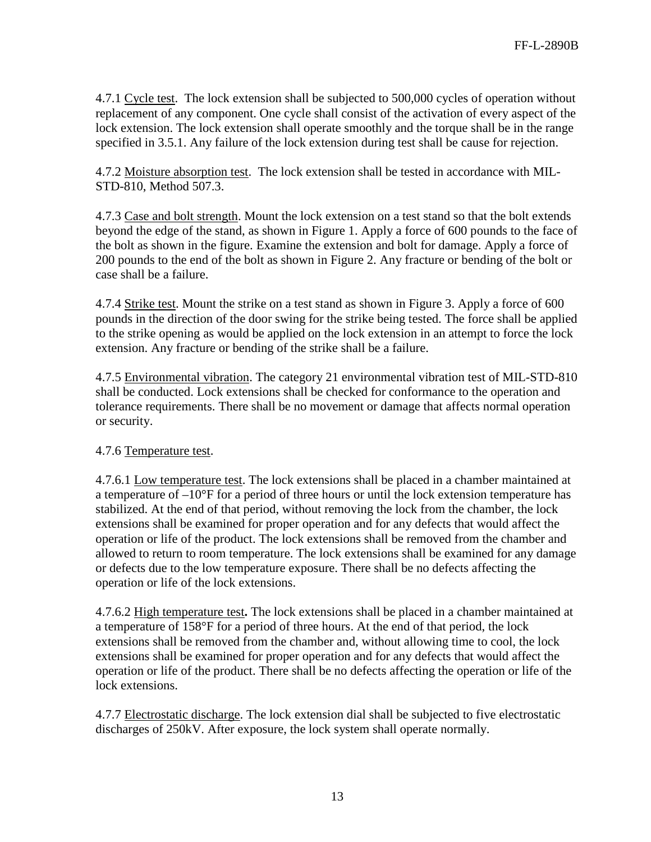4.7.1 Cycle test. The lock extension shall be subjected to 500,000 cycles of operation without replacement of any component. One cycle shall consist of the activation of every aspect of the lock extension. The lock extension shall operate smoothly and the torque shall be in the range specified in 3.5.1. Any failure of the lock extension during test shall be cause for rejection.

4.7.2 Moisture absorption test. The lock extension shall be tested in accordance with MIL-STD-810, Method 507.3.

4.7.3 Case and bolt strength. Mount the lock extension on a test stand so that the bolt extends beyond the edge of the stand, as shown in Figure 1. Apply a force of 600 pounds to the face of the bolt as shown in the figure. Examine the extension and bolt for damage. Apply a force of 200 pounds to the end of the bolt as shown in Figure 2. Any fracture or bending of the bolt or case shall be a failure.

4.7.4 Strike test. Mount the strike on a test stand as shown in Figure 3. Apply a force of 600 pounds in the direction of the door swing for the strike being tested. The force shall be applied to the strike opening as would be applied on the lock extension in an attempt to force the lock extension. Any fracture or bending of the strike shall be a failure.

4.7.5 Environmental vibration. The category 21 environmental vibration test of MIL-STD-810 shall be conducted. Lock extensions shall be checked for conformance to the operation and tolerance requirements. There shall be no movement or damage that affects normal operation or security.

## 4.7.6 Temperature test.

4.7.6.1 Low temperature test. The lock extensions shall be placed in a chamber maintained at a temperature of  $-10^{\circ}$ F for a period of three hours or until the lock extension temperature has stabilized. At the end of that period, without removing the lock from the chamber, the lock extensions shall be examined for proper operation and for any defects that would affect the operation or life of the product. The lock extensions shall be removed from the chamber and allowed to return to room temperature. The lock extensions shall be examined for any damage or defects due to the low temperature exposure. There shall be no defects affecting the operation or life of the lock extensions.

4.7.6.2 High temperature test**.** The lock extensions shall be placed in a chamber maintained at a temperature of 158°F for a period of three hours. At the end of that period, the lock extensions shall be removed from the chamber and, without allowing time to cool, the lock extensions shall be examined for proper operation and for any defects that would affect the operation or life of the product. There shall be no defects affecting the operation or life of the lock extensions.

4.7.7 Electrostatic discharge. The lock extension dial shall be subjected to five electrostatic discharges of 250kV. After exposure, the lock system shall operate normally.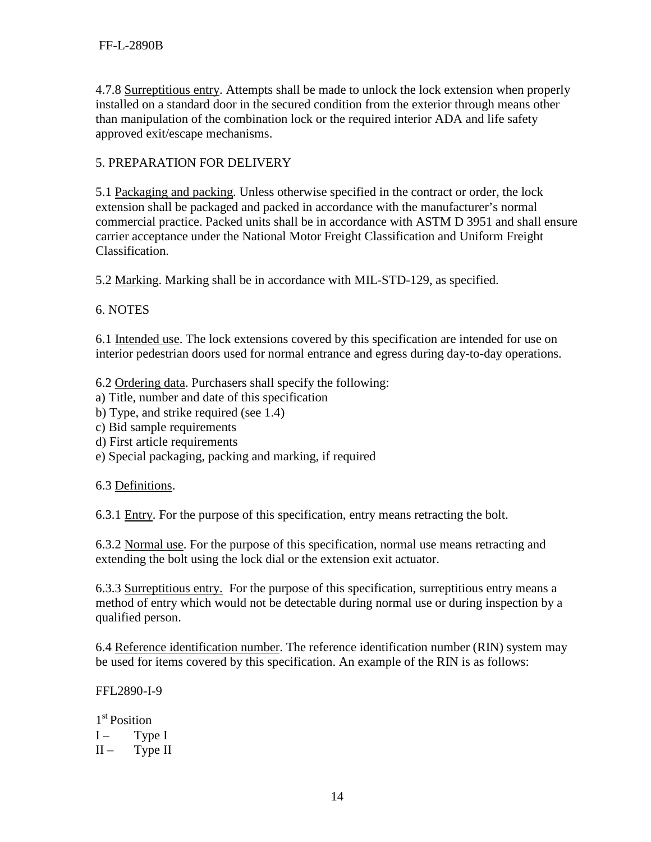4.7.8 Surreptitious entry. Attempts shall be made to unlock the lock extension when properly installed on a standard door in the secured condition from the exterior through means other than manipulation of the combination lock or the required interior ADA and life safety approved exit/escape mechanisms.

## 5. PREPARATION FOR DELIVERY

5.1 Packaging and packing. Unless otherwise specified in the contract or order, the lock extension shall be packaged and packed in accordance with the manufacturer's normal commercial practice. Packed units shall be in accordance with ASTM D 3951 and shall ensure carrier acceptance under the National Motor Freight Classification and Uniform Freight Classification.

5.2 Marking. Marking shall be in accordance with MIL-STD-129, as specified.

## 6. NOTES

6.1 Intended use. The lock extensions covered by this specification are intended for use on interior pedestrian doors used for normal entrance and egress during day-to-day operations.

6.2 Ordering data. Purchasers shall specify the following:

a) Title, number and date of this specification

- b) Type, and strike required (see 1.4)
- c) Bid sample requirements
- d) First article requirements
- e) Special packaging, packing and marking, if required

6.3 Definitions.

6.3.1 Entry. For the purpose of this specification, entry means retracting the bolt.

6.3.2 Normal use. For the purpose of this specification, normal use means retracting and extending the bolt using the lock dial or the extension exit actuator.

6.3.3 Surreptitious entry. For the purpose of this specification, surreptitious entry means a method of entry which would not be detectable during normal use or during inspection by a qualified person.

6.4 Reference identification number. The reference identification number (RIN) system may be used for items covered by this specification. An example of the RIN is as follows:

FFL2890-I-9

1<sup>st</sup> Position  $I -$  Type I  $II -$  Type II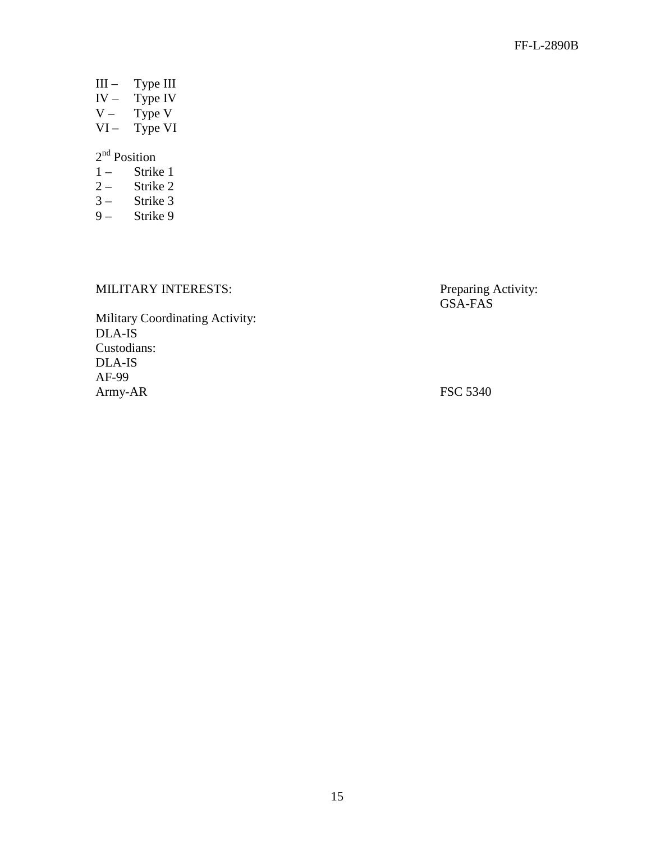- III Type III
- $IV Type IV$ <br> $V Type V$
- Type V
- $VI Type VI$

# 2<sup>nd</sup> Position

- $1 -$  Strike 1<br>2 Strike 2
- Strike 2
- 3 Strike 3
- 9 Strike 9

# MILITARY INTERESTS: Preparing Activity:

GSA-FAS

Military Coordinating Activity: DLA-IS Custodians: DLA-IS AF-99 Army-AR FSC 5340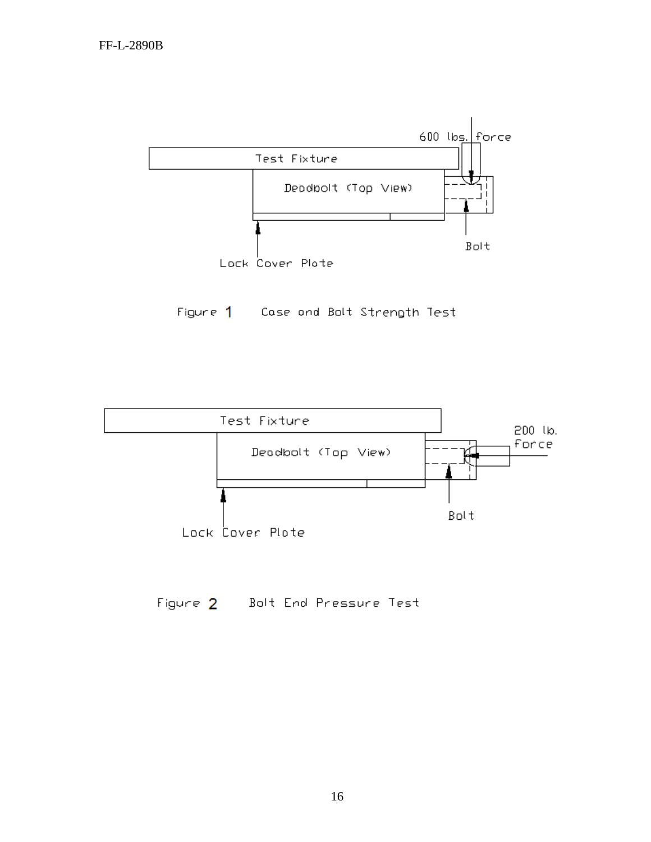

Figure 1 Case and Balt Strength Test



Figure 2 Bolt End Pressure Test